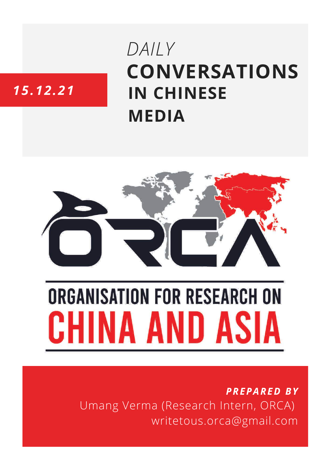## DAILY **CONVERSATIONS IN CHINESE MEDIA**

### 15.12.21



# **ORGANISATION FOR RESEARCH ON** HINA AND ASIA

**PREPARED BY** Umang Verma (Research Intern, ORCA) writetous.orca@gmail.com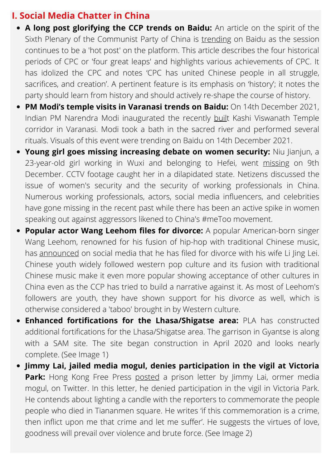#### **I. Social Media Chatter in China**

- **A long post glorifying the CCP trends on Baidu:** An article on the spirit of the Sixth Plenary of the Communist Party of China is [trending](https://baijiahao.baidu.com/s?id=1718812107504330775&wfr=spider&for=pc) on Baidu as the session continues to be a 'hot post' on the platform. This article describes the four historical periods of CPC or 'four great leaps' and highlights various achievements of CPC. It has idolized the CPC and notes 'CPC has united Chinese people in all struggle, sacrifices, and creation'. A pertinent feature is its emphasis on 'history'; it notes the party should learn from history and should actively re-shape the course of history.
- **PM Modi's temple visits in Varanasi trends on Baidu:** On 14th December 2021, Indian PM Narendra Modi inaugurated the recently [buil](https://baijiahao.baidu.com/s?id=1719108487703466651&wfr=spider&for=pc)t Kashi Viswanath Temple corridor in Varanasi. Modi took a bath in the sacred river and performed several rituals. Visuals of this event were trending on Baidu on 14th December 2021.
- **Young girl goes missing increasing debate on women security:** Niu Jianjun, a 23-year-old girl working in Wuxi and belonging to Hefei, went [missing](https://news.sina.cn/zt_d/jswxsl) on 9th December. CCTV footage caught her in a dilapidated state. Netizens discussed the issue of women's security and the security of working professionals in China. Numerous working professionals, actors, social media influencers, and celebrities have gone missing in the recent past while there has been an active spike in women speaking out against aggressors likened to China's #meToo movement.
- **Popular actor Wang Leehom files for divorce:** A popular American-born singer Wang Leehom, renowned for his fusion of hip-hop with traditional Chinese music, has [announced](http://news.hexun.com/2021-12-15/204939272.html) on social media that he has filed for divorce with his wife Li Jing Lei. Chinese youth widely followed western pop culture and its fusion with traditional Chinese music make it even more popular showing acceptance of other cultures in China even as the CCP has tried to build a narrative against it. As most of Leehom's followers are youth, they have shown support for his divorce as well, which is otherwise considered a 'taboo' brought in by Western culture.
- **Enhanced fortifications for the [Lhasa/Shigatse](https://twitter.com/hashtag/PLA?src=hashtag_click) area:** [PLA](https://twitter.com/hashtag/PLA?src=hashtag_click) has constructed additional fortifications for the Lhasa/Shigatse area. The garrison in Gyantse is along with a SAM site. The site began construction in April 2020 and looks nearly complete. (See Image 1)
- **Jimmy Lai, jailed media mogul, denies participation in the vigil at Victoria Park:** Hong Kong Free Press [posted](https://www.bbc.com/news/world-asia-china-59632728) a prison letter by Jimmy Lai, ormer media mogul, on Twitter. In this letter, he denied participation in the vigil in Victoria Park. He contends about lighting a candle with the reporters to commemorate the people people who died in Tiananmen square. He writes 'if this commemoration is a crime, then inflict upon me that crime and let me suffer'. He suggests the virtues of love, goodness will prevail over violence and brute force. (See Image 2)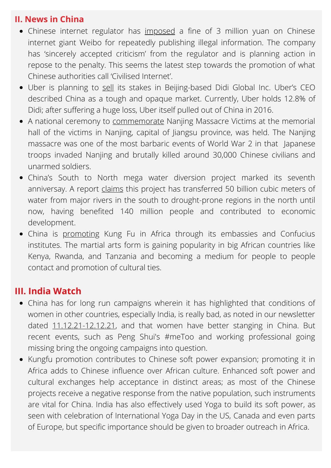#### **II. News in China**

- Chinese internet regulator has [imposed](https://www.reuters.com/world/china/chinas-cyberspace-regulator-fines-sina-weibo-operator-3-mln-yuan-2021-12-14/) a fine of 3 million yuan on Chinese internet giant Weibo for repeatedly publishing illegal information. The company has 'sincerely accepted criticism' from the regulator and is planning action in repose to the penalty. This seems the latest step towards the promotion of what Chinese authorities call 'Civilised Internet'.
- Uber is planning to [sell](https://www.reuters.com/technology/uber-looks-sell-didi-other-non-strategic-stakes-uber-ceo-ubs-conference-2021-12-14/) its stakes in Beijing-based Didi Global Inc. Uber's CEO described China as a tough and opaque market. Currently, Uber holds 12.8% of Didi; after suffering a huge loss, Uber itself pulled out of China in 2016.
- A national ceremony to [commemorate](https://en.dahe.cn/2021/12-13/936246.html) Nanjing Massacre Victims at the memorial hall of the victims in Nanjing, capital of Jiangsu province, was held. The Nanjing massacre was one of the most barbaric events of World War 2 in that Japanese troops invaded Nanjing and brutally killed around 30,000 Chinese civilians and unarmed soldiers.
- China's South to North mega water diversion project marked its seventh anniversay. A report [claims](https://en.dahe.cn/2021/12-13/936230.html) this project has transferred 50 billion cubic meters of water from major rivers in the south to drought-prone regions in the north until now, having benefited 140 million people and contributed to economic development.
- China is [promoting](https://en.dahe.cn/2021/12-06/933356.html) Kung Fu in Africa through its embassies and Confucius institutes. The martial arts form is gaining popularity in big African countries like Kenya, Rwanda, and Tanzania and becoming a medium for people to people contact and promotion of cultural ties.

#### **III. India Watch**

- China has for long run campaigns wherein it has highlighted that conditions of women in other countries, especially India, is really bad, as noted in our newsletter dated [11.12.21-12.12.21,](https://orcasia.org/wp-content/uploads/2021/12/11.12.21-12.12.21-compressed.pdf) and that women have better stanging in China. But recent events, such as Peng Shui's #meToo and working professional going missing bring the ongoing campaigns into question.
- Kungfu promotion contributes to Chinese soft power expansion; promoting it in Africa adds to Chinese influence over African culture. Enhanced soft power and cultural exchanges help acceptance in distinct areas; as most of the Chinese projects receive a negative response from the native population, such instruments are vital for China. India has also effectively used Yoga to build its soft power, as seen with celebration of International Yoga Day in the US, Canada and even parts of Europe, but specific importance should be given to broader outreach in Africa.